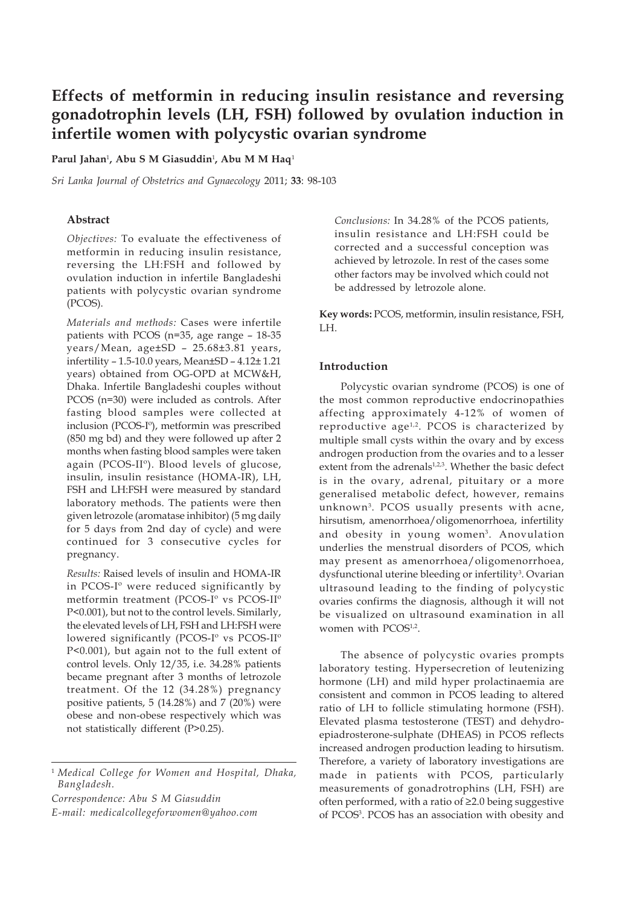# **Effects of metformin in reducing insulin resistance and reversing gonadotrophin levels (LH, FSH) followed by ovulation induction in infertile women with polycystic ovarian syndrome**

#### **Parul Jahan**<sup>1</sup> **, Abu S M Giasuddin**<sup>1</sup> **, Abu M M Haq**<sup>1</sup>

*Sri Lanka Journal of Obstetrics and Gynaecology* 2011; **33**: 98-103

#### **Abstract**

*Objectives:* To evaluate the effectiveness of metformin in reducing insulin resistance, reversing the LH:FSH and followed by ovulation induction in infertile Bangladeshi patients with polycystic ovarian syndrome (PCOS).

*Materials and methods:* Cases were infertile patients with PCOS (n=35, age range – 18-35 years/Mean, age±SD – 25.68±3.81 years, infertility – 1.5-10.0 years, Mean±SD – 4.12± 1.21 years) obtained from OG-OPD at MCW&H, Dhaka. Infertile Bangladeshi couples without PCOS (n=30) were included as controls. After fasting blood samples were collected at inclusion (PCOS-Iº), metformin was prescribed (850 mg bd) and they were followed up after 2 months when fasting blood samples were taken again (PCOS-IIº). Blood levels of glucose, insulin, insulin resistance (HOMA-IR), LH, FSH and LH:FSH were measured by standard laboratory methods. The patients were then given letrozole (aromatase inhibitor) (5 mg daily for 5 days from 2nd day of cycle) and were continued for 3 consecutive cycles for pregnancy.

*Results:* Raised levels of insulin and HOMA-IR in PCOS-Iº were reduced significantly by metformin treatment (PCOS-Iº vs PCOS-IIº P<0.001), but not to the control levels. Similarly, the elevated levels of LH, FSH and LH:FSH were lowered significantly (PCOS-Iº vs PCOS-IIº P<0.001), but again not to the full extent of control levels. Only 12/35, i.e. 34.28% patients became pregnant after 3 months of letrozole treatment. Of the 12 (34.28%) pregnancy positive patients, 5 (14.28%) and 7 (20%) were obese and non-obese respectively which was not statistically different (P>0.25).

*Correspondence: Abu S M Giasuddin*

*E-mail: medicalcollegeforwomen@yahoo.com*

*Conclusions:* In 34.28% of the PCOS patients, insulin resistance and LH:FSH could be corrected and a successful conception was achieved by letrozole. In rest of the cases some other factors may be involved which could not be addressed by letrozole alone.

**Key words:** PCOS, metformin, insulin resistance, FSH, LH.

## **Introduction**

Polycystic ovarian syndrome (PCOS) is one of the most common reproductive endocrinopathies affecting approximately 4-12% of women of reproductive age<sup>1,2</sup>. PCOS is characterized by multiple small cysts within the ovary and by excess androgen production from the ovaries and to a lesser extent from the adrenals<sup>1,2,3</sup>. Whether the basic defect is in the ovary, adrenal, pituitary or a more generalised metabolic defect, however, remains unknown3. PCOS usually presents with acne, hirsutism, amenorrhoea/oligomenorrhoea, infertility and obesity in young women<sup>3</sup>. Anovulation underlies the menstrual disorders of PCOS, which may present as amenorrhoea/oligomenorrhoea, dysfunctional uterine bleeding or infertility<sup>3</sup>. Ovarian ultrasound leading to the finding of polycystic ovaries confirms the diagnosis, although it will not be visualized on ultrasound examination in all women with PCOS<sup>1,2</sup>.

The absence of polycystic ovaries prompts laboratory testing. Hypersecretion of leutenizing hormone (LH) and mild hyper prolactinaemia are consistent and common in PCOS leading to altered ratio of LH to follicle stimulating hormone (FSH). Elevated plasma testosterone (TEST) and dehydroepiadrosterone-sulphate (DHEAS) in PCOS reflects increased androgen production leading to hirsutism. Therefore, a variety of laboratory investigations are made in patients with PCOS, particularly measurements of gonadrotrophins (LH, FSH) are often performed, with a ratio of ≥2.0 being suggestive of PCOS<sup>3</sup>. PCOS has an association with obesity and

<sup>1</sup> *Medical College for Women and Hospital, Dhaka, Bangladesh.*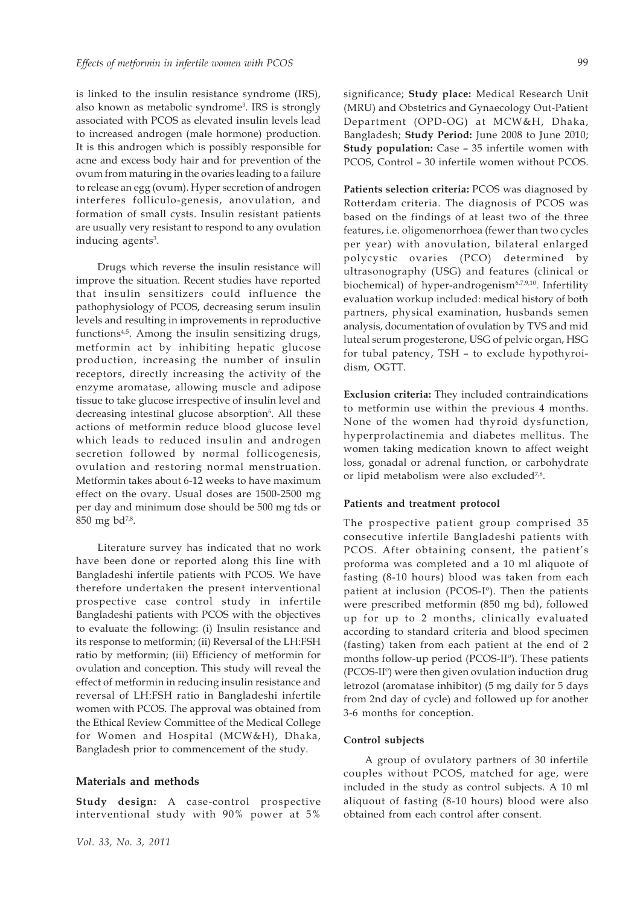is linked to the insulin resistance syndrome (IRS), also known as metabolic syndrome3 . IRS is strongly associated with PCOS as elevated insulin levels lead to increased androgen (male hormone) production. It is this androgen which is possibly responsible for acne and excess body hair and for prevention of the ovum from maturing in the ovaries leading to a failure to release an egg (ovum). Hyper secretion of androgen interferes folliculo-genesis, anovulation, and formation of small cysts. Insulin resistant patients are usually very resistant to respond to any ovulation inducing agents<sup>3</sup>.

Drugs which reverse the insulin resistance will improve the situation. Recent studies have reported that insulin sensitizers could influence the pathophysiology of PCOS, decreasing serum insulin levels and resulting in improvements in reproductive functions4,5. Among the insulin sensitizing drugs, metformin act by inhibiting hepatic glucose production, increasing the number of insulin receptors, directly increasing the activity of the enzyme aromatase, allowing muscle and adipose tissue to take glucose irrespective of insulin level and decreasing intestinal glucose absorption<sup>6</sup>. All these actions of metformin reduce blood glucose level which leads to reduced insulin and androgen secretion followed by normal follicogenesis, ovulation and restoring normal menstruation. Metformin takes about 6-12 weeks to have maximum effect on the ovary. Usual doses are 1500-2500 mg per day and minimum dose should be 500 mg tds or 850 mg bd<sup>7,8</sup>.

Literature survey has indicated that no work have been done or reported along this line with Bangladeshi infertile patients with PCOS. We have therefore undertaken the present interventional prospective case control study in infertile Bangladeshi patients with PCOS with the objectives to evaluate the following: (i) Insulin resistance and its response to metformin; (ii) Reversal of the LH:FSH ratio by metformin; (iii) Efficiency of metformin for ovulation and conception. This study will reveal the effect of metformin in reducing insulin resistance and reversal of LH:FSH ratio in Bangladeshi infertile women with PCOS. The approval was obtained from the Ethical Review Committee of the Medical College for Women and Hospital (MCW&H), Dhaka, Bangladesh prior to commencement of the study.

# **Materials and methods**

**Study design:** A case-control prospective interventional study with 90% power at 5%

significance; **Study place:** Medical Research Unit (MRU) and Obstetrics and Gynaecology Out-Patient Department (OPD-OG) at MCW&H, Dhaka, Bangladesh; **Study Period:** June 2008 to June 2010; **Study population:** Case – 35 infertile women with PCOS, Control – 30 infertile women without PCOS.

**Patients selection criteria:** PCOS was diagnosed by Rotterdam criteria. The diagnosis of PCOS was based on the findings of at least two of the three features, i.e. oligomenorrhoea (fewer than two cycles per year) with anovulation, bilateral enlarged polycystic ovaries (PCO) determined by ultrasonography (USG) and features (clinical or biochemical) of hyper-androgenism<sup>6,7,9,10</sup>. Infertility evaluation workup included: medical history of both partners, physical examination, husbands semen analysis, documentation of ovulation by TVS and mid luteal serum progesterone, USG of pelvic organ, HSG for tubal patency, TSH – to exclude hypothyroidism, OGTT.

**Exclusion criteria:** They included contraindications to metformin use within the previous 4 months. None of the women had thyroid dysfunction, hyperprolactinemia and diabetes mellitus. The women taking medication known to affect weight loss, gonadal or adrenal function, or carbohydrate or lipid metabolism were also excluded<sup>7,8</sup>.

#### **Patients and treatment protocol**

The prospective patient group comprised 35 consecutive infertile Bangladeshi patients with PCOS. After obtaining consent, the patient's proforma was completed and a 10 ml aliquote of fasting (8-10 hours) blood was taken from each patient at inclusion (PCOS-Iº). Then the patients were prescribed metformin (850 mg bd), followed up for up to 2 months, clinically evaluated according to standard criteria and blood specimen (fasting) taken from each patient at the end of 2 months follow-up period (PCOS-IIº). These patients (PCOS-IIº) were then given ovulation induction drug letrozol (aromatase inhibitor) (5 mg daily for 5 days from 2nd day of cycle) and followed up for another 3-6 months for conception.

#### **Control subjects**

A group of ovulatory partners of 30 infertile couples without PCOS, matched for age, were included in the study as control subjects. A 10 ml aliquout of fasting (8-10 hours) blood were also obtained from each control after consent.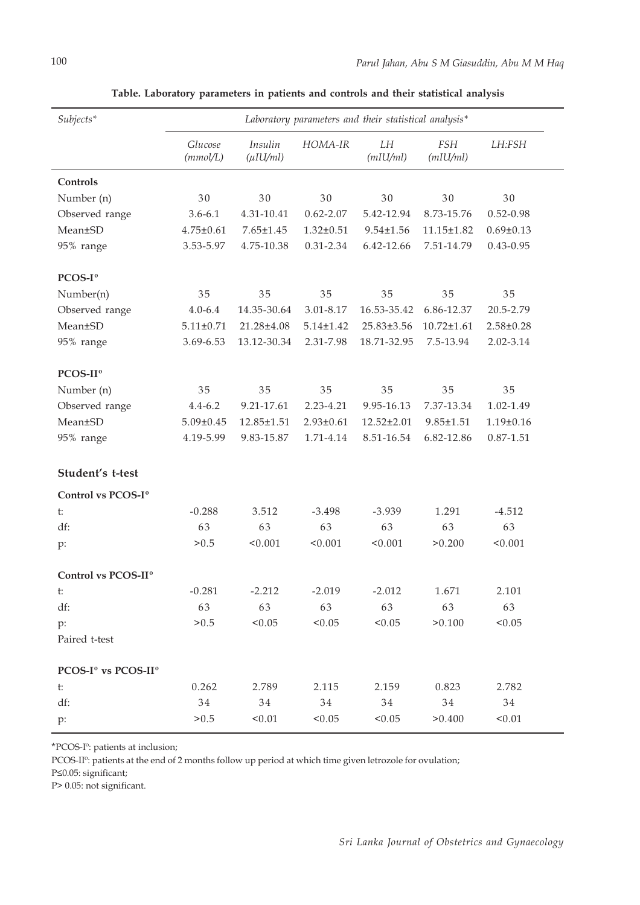| Subjects*                       | Laboratory parameters and their statistical analysis* |                           |                 |                 |                        |                 |
|---------------------------------|-------------------------------------------------------|---------------------------|-----------------|-----------------|------------------------|-----------------|
|                                 | Glucose<br>(mmol/L)                                   | Insulin<br>$(\mu I U/ml)$ | HOMA-IR         | LH<br>(mIU/ml)  | <b>FSH</b><br>(mIU/ml) | LH:FSH          |
| Controls                        |                                                       |                           |                 |                 |                        |                 |
| Number (n)                      | 30                                                    | 30                        | 30              | 30              | 30                     | 30              |
| Observed range                  | $3.6 - 6.1$                                           | 4.31-10.41                | $0.62 - 2.07$   | 5.42-12.94      | 8.73-15.76             | $0.52 - 0.98$   |
| Mean±SD                         | $4.75 \pm 0.61$                                       | $7.65 \pm 1.45$           | $1.32 \pm 0.51$ | $9.54 \pm 1.56$ | 11.15±1.82             | $0.69 \pm 0.13$ |
| 95% range                       | 3.53-5.97                                             | 4.75-10.38                | 0.31-2.34       | 6.42-12.66      | 7.51-14.79             | $0.43 - 0.95$   |
| PCOS-I <sup>o</sup>             |                                                       |                           |                 |                 |                        |                 |
| Number(n)                       | 35                                                    | 35                        | 35              | 35              | 35                     | 35              |
| Observed range                  | $4.0 - 6.4$                                           | 14.35-30.64               | 3.01-8.17       | 16.53-35.42     | 6.86-12.37             | 20.5-2.79       |
| Mean±SD                         | $5.11 \pm 0.71$                                       | 21.28±4.08                | $5.14 \pm 1.42$ | 25.83±3.56      | $10.72{\pm}1.61$       | $2.58 \pm 0.28$ |
| 95% range                       | 3.69-6.53                                             | 13.12-30.34               | 2.31-7.98       | 18.71-32.95     | 7.5-13.94              | 2.02-3.14       |
| PCOS-II <sup>o</sup>            |                                                       |                           |                 |                 |                        |                 |
| Number (n)                      | 35                                                    | 35                        | 35              | 35              | 35                     | 35              |
| Observed range                  | $4.4 - 6.2$                                           | 9.21-17.61                | 2.23-4.21       | 9.95-16.13      | 7.37-13.34             | 1.02-1.49       |
| Mean±SD                         | $5.09 \pm 0.45$                                       | 12.85±1.51                | $2.93 \pm 0.61$ | 12.52±2.01      | $9.85 \pm 1.51$        | $1.19 \pm 0.16$ |
| 95% range                       | 4.19-5.99                                             | 9.83-15.87                | 1.71-4.14       | 8.51-16.54      | 6.82-12.86             | $0.87 - 1.51$   |
| Student's t-test                |                                                       |                           |                 |                 |                        |                 |
| Control vs PCOS-I <sup>o</sup>  |                                                       |                           |                 |                 |                        |                 |
| t:                              | $-0.288$                                              | 3.512                     | $-3.498$        | $-3.939$        | 1.291                  | $-4.512$        |
| df:                             | 63                                                    | 63                        | 63              | 63              | 63                     | 63              |
| p:                              | > 0.5                                                 | < 0.001                   | < 0.001         | < 0.001         | >0.200                 | < 0.001         |
| Control vs PCOS-II <sup>o</sup> |                                                       |                           |                 |                 |                        |                 |
| t:                              | $-0.281$                                              | $-2.212$                  | $-2.019$        | $-2.012$        | 1.671                  | 2.101           |
| df:                             | 63                                                    | 63                        | 63              | 63              | 63                     | 63              |
| p:                              | > 0.5                                                 | < 0.05                    | < 0.05          | < 0.05          | > 0.100                | < 0.05          |
| Paired t-test                   |                                                       |                           |                 |                 |                        |                 |
| PCOS-Iº vs PCOS-IIº             |                                                       |                           |                 |                 |                        |                 |
| t:                              | 0.262                                                 | 2.789                     | 2.115           | 2.159           | 0.823                  | 2.782           |
| df:                             | 34                                                    | 34                        | 34              | 34              | 34                     | 34              |
| $p$ :                           | > 0.5                                                 | < 0.01                    | < 0.05          | < 0.05          | > 0.400                | < 0.01          |

**Table. Laboratory parameters in patients and controls and their statistical analysis**

\*PCOS-Iº: patients at inclusion;

PCOS-II<sup>o</sup>: patients at the end of 2 months follow up period at which time given letrozole for ovulation;

P≤0.05: significant;

P> 0.05: not significant.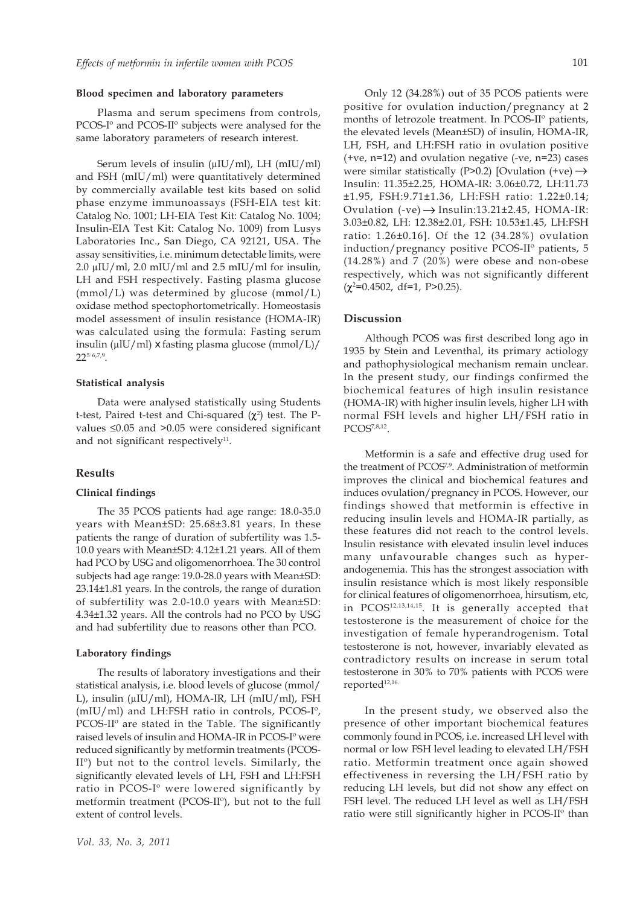#### **Blood specimen and laboratory parameters**

Plasma and serum specimens from controls, PCOS-Iº and PCOS-IIº subjects were analysed for the same laboratory parameters of research interest.

Serum levels of insulin (μIU/ml), LH (mIU/ml) and FSH (mIU/ml) were quantitatively determined by commercially available test kits based on solid phase enzyme immunoassays (FSH-EIA test kit: Catalog No. 1001; LH-EIA Test Kit: Catalog No. 1004; Insulin-EIA Test Kit: Catalog No. 1009) from Lusys Laboratories Inc., San Diego, CA 92121, USA. The assay sensitivities, i.e. minimum detectable limits, were 2.0 μIU/ml, 2.0 mIU/ml and 2.5 mIU/ml for insulin, LH and FSH respectively. Fasting plasma glucose (mmol/L) was determined by glucose (mmol/L) oxidase method spectophortometrically. Homeostasis model assessment of insulin resistance (HOMA-IR) was calculated using the formula: Fasting serum insulin (μlU/ml) x fasting plasma glucose (mmol/L)/ 225 6,7,9.

#### **Statistical analysis**

Data were analysed statistically using Students t-test, Paired t-test and Chi-squared  $(\chi^2)$  test. The Pvalues ≤0.05 and >0.05 were considered significant and not significant respectively $11$ .

#### **Results**

#### **Clinical findings**

The 35 PCOS patients had age range: 18.0-35.0 years with Mean±SD: 25.68±3.81 years. In these patients the range of duration of subfertility was 1.5- 10.0 years with Mean±SD: 4.12±1.21 years. All of them had PCO by USG and oligomenorrhoea. The 30 control subjects had age range: 19.0-28.0 years with Mean±SD: 23.14±1.81 years. In the controls, the range of duration of subfertility was 2.0-10.0 years with Mean±SD: 4.34±1.32 years. All the controls had no PCO by USG and had subfertility due to reasons other than PCO.

#### **Laboratory findings**

The results of laboratory investigations and their statistical analysis, i.e. blood levels of glucose (mmol/ L), insulin (μIU/ml), HOMA-IR, LH (mIU/ml), FSH (mIU/ml) and LH:FSH ratio in controls, PCOS-Iº, PCOS-IIº are stated in the Table. The significantly raised levels of insulin and HOMA-IR in PCOS-Iº were reduced significantly by metformin treatments (PCOS-IIº) but not to the control levels. Similarly, the significantly elevated levels of LH, FSH and LH:FSH ratio in PCOS-Iº were lowered significantly by metformin treatment (PCOS-IIº), but not to the full extent of control levels.

Only 12 (34.28%) out of 35 PCOS patients were positive for ovulation induction/pregnancy at 2 months of letrozole treatment. In PCOS-IIº patients, the elevated levels (Mean±SD) of insulin, HOMA-IR, LH, FSH, and LH:FSH ratio in ovulation positive (+ve, n=12) and ovulation negative (-ve, n=23) cases were similar statistically (P>0.2) [Ovulation  $(+ve) \rightarrow$ Insulin: 11.35±2.25, HOMA-IR: 3.06±0.72, LH:11.73 ±1.95, FSH:9.71±1.36, LH:FSH ratio: 1.22±0.14; Ovulation  $(-ve) \rightarrow$  Insulin:13.21±2.45, HOMA-IR: 3.03±0.82, LH: 12.38±2.01, FSH: 10.53±1.45, LH:FSH ratio: 1.26±0.16]. Of the 12 (34.28%) ovulation induction/pregnancy positive PCOS-IIº patients, 5 (14.28%) and 7 (20%) were obese and non-obese respectively, which was not significantly different  $(\chi^2=0.4502, df=1, P>0.25)$ .

#### **Discussion**

Although PCOS was first described long ago in 1935 by Stein and Leventhal, its primary actiology and pathophysiological mechanism remain unclear. In the present study, our findings confirmed the biochemical features of high insulin resistance (HOMA-IR) with higher insulin levels, higher LH with normal FSH levels and higher LH/FSH ratio in PCOS7,8,12.

Metformin is a safe and effective drug used for the treatment of PCOS<sup>7,9</sup>. Administration of metformin improves the clinical and biochemical features and induces ovulation/pregnancy in PCOS. However, our findings showed that metformin is effective in reducing insulin levels and HOMA-IR partially, as these features did not reach to the control levels. Insulin resistance with elevated insulin level induces many unfavourable changes such as hyperandogenemia. This has the strongest association with insulin resistance which is most likely responsible for clinical features of oligomenorrhoea, hirsutism, etc, in PCOS12,13,14,15. It is generally accepted that testosterone is the measurement of choice for the investigation of female hyperandrogenism. Total testosterone is not, however, invariably elevated as contradictory results on increase in serum total testosterone in 30% to 70% patients with PCOS were reported<sup>12,16.</sup>

In the present study, we observed also the presence of other important biochemical features commonly found in PCOS, i.e. increased LH level with normal or low FSH level leading to elevated LH/FSH ratio. Metformin treatment once again showed effectiveness in reversing the LH/FSH ratio by reducing LH levels, but did not show any effect on FSH level. The reduced LH level as well as LH/FSH ratio were still significantly higher in PCOS-IIº than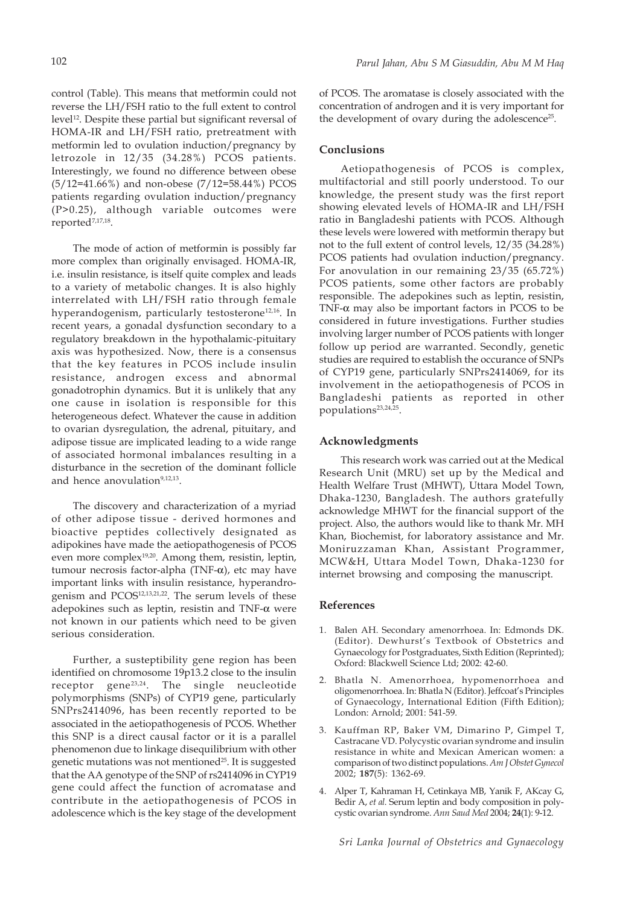control (Table). This means that metformin could not reverse the LH/FSH ratio to the full extent to control level12. Despite these partial but significant reversal of HOMA-IR and LH/FSH ratio, pretreatment with metformin led to ovulation induction/pregnancy by letrozole in 12/35 (34.28%) PCOS patients. Interestingly, we found no difference between obese (5/12=41.66%) and non-obese (7/12=58.44%) PCOS patients regarding ovulation induction/pregnancy (P>0.25), although variable outcomes were reported<sup>7,17,18</sup>.

The mode of action of metformin is possibly far more complex than originally envisaged. HOMA-IR, i.e. insulin resistance, is itself quite complex and leads to a variety of metabolic changes. It is also highly interrelated with LH/FSH ratio through female hyperandogenism, particularly testosterone<sup>12,16</sup>. In recent years, a gonadal dysfunction secondary to a regulatory breakdown in the hypothalamic-pituitary axis was hypothesized. Now, there is a consensus that the key features in PCOS include insulin resistance, androgen excess and abnormal gonadotrophin dynamics. But it is unlikely that any one cause in isolation is responsible for this heterogeneous defect. Whatever the cause in addition to ovarian dysregulation, the adrenal, pituitary, and adipose tissue are implicated leading to a wide range of associated hormonal imbalances resulting in a disturbance in the secretion of the dominant follicle and hence anovulation<sup>9,12,13</sup>.

The discovery and characterization of a myriad of other adipose tissue - derived hormones and bioactive peptides collectively designated as adipokines have made the aetiopathogenesis of PCOS even more complex<sup>19,20</sup>. Among them, resistin, leptin, tumour necrosis factor-alpha (TNF- $\alpha$ ), etc may have important links with insulin resistance, hyperandrogenism and PCOS12,13,21,22. The serum levels of these adepokines such as leptin, resistin and TNF-α were not known in our patients which need to be given serious consideration.

Further, a susteptibility gene region has been identified on chromosome 19p13.2 close to the insulin receptor gene<sup>23,24</sup>. The single neucleotide polymorphisms (SNPs) of CYP19 gene, particularly SNPrs2414096, has been recently reported to be associated in the aetiopathogenesis of PCOS. Whether this SNP is a direct causal factor or it is a parallel phenomenon due to linkage disequilibrium with other genetic mutations was not mentioned<sup>25</sup>. It is suggested that the AA genotype of the SNP of rs2414096 in CYP19 gene could affect the function of acromatase and contribute in the aetiopathogenesis of PCOS in adolescence which is the key stage of the development

of PCOS. The aromatase is closely associated with the concentration of androgen and it is very important for the development of ovary during the adolescence<sup>25</sup>.

#### **Conclusions**

Aetiopathogenesis of PCOS is complex, multifactorial and still poorly understood. To our knowledge, the present study was the first report showing elevated levels of HOMA-IR and LH/FSH ratio in Bangladeshi patients with PCOS. Although these levels were lowered with metformin therapy but not to the full extent of control levels, 12/35 (34.28%) PCOS patients had ovulation induction/pregnancy. For anovulation in our remaining 23/35 (65.72%) PCOS patients, some other factors are probably responsible. The adepokines such as leptin, resistin, TNF- $\alpha$  may also be important factors in PCOS to be considered in future investigations. Further studies involving larger number of PCOS patients with longer follow up period are warranted. Secondly, genetic studies are required to establish the occurance of SNPs of CYP19 gene, particularly SNPrs2414069, for its involvement in the aetiopathogenesis of PCOS in Bangladeshi patients as reported in other populations<sup>23,24,25</sup>.

## **Acknowledgments**

This research work was carried out at the Medical Research Unit (MRU) set up by the Medical and Health Welfare Trust (MHWT), Uttara Model Town, Dhaka-1230, Bangladesh. The authors gratefully acknowledge MHWT for the financial support of the project. Also, the authors would like to thank Mr. MH Khan, Biochemist, for laboratory assistance and Mr. Moniruzzaman Khan, Assistant Programmer, MCW&H, Uttara Model Town, Dhaka-1230 for internet browsing and composing the manuscript.

#### **References**

- 1. Balen AH. Secondary amenorrhoea. In: Edmonds DK. (Editor). Dewhurst's Textbook of Obstetrics and Gynaecology for Postgraduates, Sixth Edition (Reprinted); Oxford: Blackwell Science Ltd; 2002: 42-60.
- 2. Bhatla N. Amenorrhoea, hypomenorrhoea and oligomenorrhoea. In: Bhatla N (Editor). Jeffcoat's Principles of Gynaecology, International Edition (Fifth Edition); London: Arnold; 2001: 541-59.
- 3. Kauffman RP, Baker VM, Dimarino P, Gimpel T, Castracane VD. Polycystic ovarian syndrome and insulin resistance in white and Mexican American women: a comparison of two distinct populations. *Am J Obstet Gynecol* 2002; **187**(5): 1362-69.
- 4. Alper T, Kahraman H, Cetinkaya MB, Yanik F, AKcay G, Bedir A, *et al*. Serum leptin and body composition in polycystic ovarian syndrome. *Ann Saud Med* 2004; **24**(1): 9-12.

*Sri Lanka Journal of Obstetrics and Gynaecology*